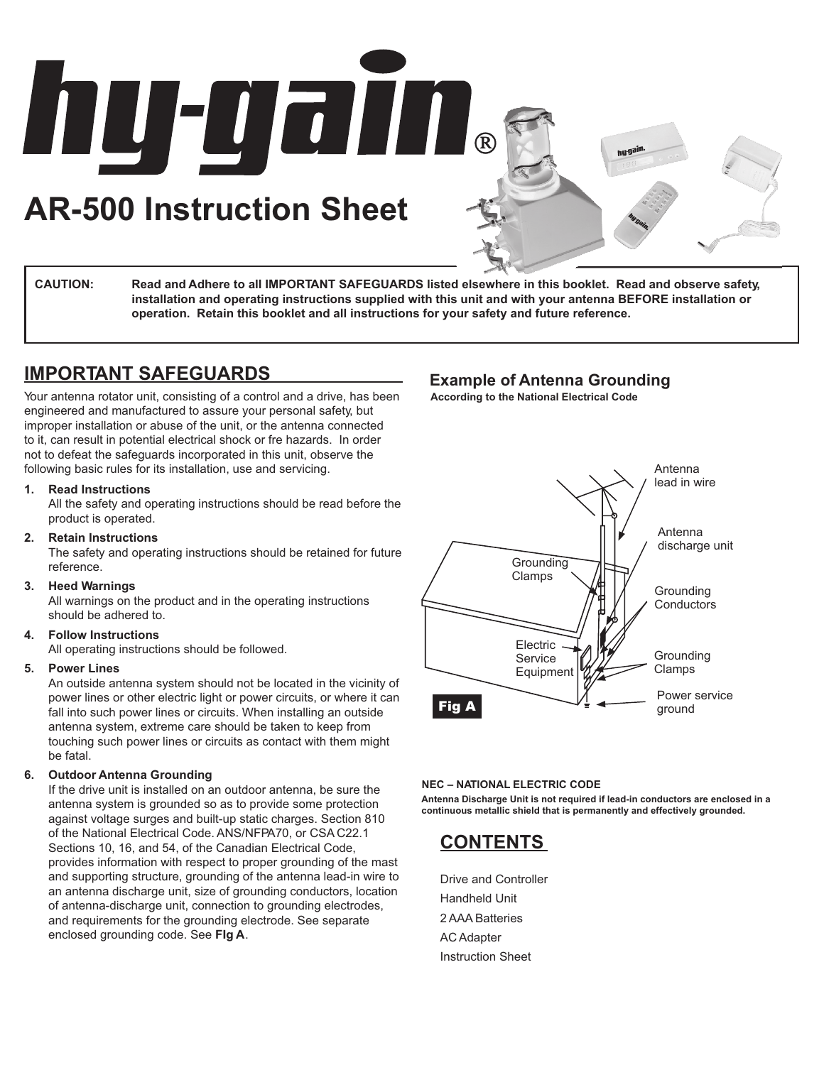**AR-500 Instruction Sheet**

**MU-UGIN**®

**CAUTION: Read and Adhere to all IMPORTANT SAFEGUARDS listed elsewhere in this booklet. Read and observe safety, installation and operating instructions supplied with this unit and with your antenna BEFORE installation or operation. Retain this booklet and all instructions for your safety and future reference.**

## **IMPORTANT SAFEGUARDS**

Your antenna rotator unit, consisting of a control and a drive, has been engineered and manufactured to assure your personal safety, but improper installation or abuse of the unit, or the antenna connected to it, can result in potential electrical shock or fre hazards. In order not to defeat the safeguards incorporated in this unit, observe the following basic rules for its installation, use and servicing.

#### **1. Read Instructions**

All the safety and operating instructions should be read before the product is operated.

#### **2. Retain Instructions**

The safety and operating instructions should be retained for future reference.

#### **3. Heed Warnings**

All warnings on the product and in the operating instructions should be adhered to.

#### **4. Follow Instructions**

All operating instructions should be followed.

#### **5. Power Lines**

An outside antenna system should not be located in the vicinity of power lines or other electric light or power circuits, or where it can fall into such power lines or circuits. When installing an outside antenna system, extreme care should be taken to keep from touching such power lines or circuits as contact with them might be fatal.

#### **6. Outdoor Antenna Grounding**

If the drive unit is installed on an outdoor antenna, be sure the antenna system is grounded so as to provide some protection against voltage surges and built-up static charges. Section 810 of the National Electrical Code. ANS/NFPA70, or CSA C22.1 Sections 10, 16, and 54, of the Canadian Electrical Code, provides information with respect to proper grounding of the mast and supporting structure, grounding of the antenna lead-in wire to an antenna discharge unit, size of grounding conductors, location of antenna-discharge unit, connection to grounding electrodes, and requirements for the grounding electrode. See separate enclosed grounding code. See **FIg A**.

## **Example of Antenna Grounding**

**According to the National Electrical Code**



#### **NEC – NATIONAL ELECTRIC CODE**

**Antenna Discharge Unit is not required if lead-in conductors are enclosed in a continuous metallic shield that is permanently and effectively grounded.**



Drive and Controller Handheld Unit 2 AAA Batteries AC Adapter Instruction Sheet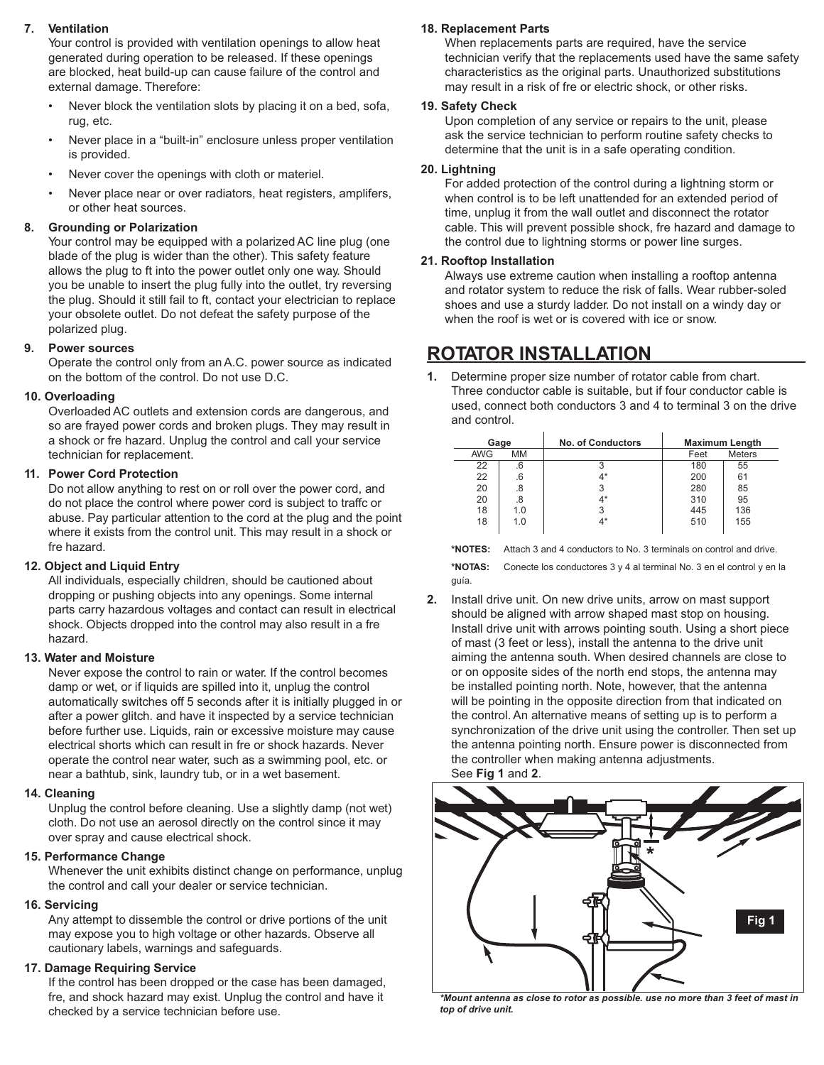#### **7. Ventilation**

Your control is provided with ventilation openings to allow heat generated during operation to be released. If these openings are blocked, heat build-up can cause failure of the control and external damage. Therefore:

- Never block the ventilation slots by placing it on a bed, sofa, rug, etc.
- Never place in a "built-in" enclosure unless proper ventilation is provided.
- Never cover the openings with cloth or materiel.
- Never place near or over radiators, heat registers, amplifers, or other heat sources.

#### **8. Grounding or Polarization**

Your control may be equipped with a polarized AC line plug (one blade of the plug is wider than the other). This safety feature allows the plug to ft into the power outlet only one way. Should you be unable to insert the plug fully into the outlet, try reversing the plug. Should it still fail to ft, contact your electrician to replace your obsolete outlet. Do not defeat the safety purpose of the polarized plug.

#### **9. Power sources**

Operate the control only from an A.C. power source as indicated on the bottom of the control. Do not use D.C.

#### **10. Overloading**

Overloaded AC outlets and extension cords are dangerous, and so are frayed power cords and broken plugs. They may result in a shock or fre hazard. Unplug the control and call your service technician for replacement.

#### **11. Power Cord Protection**

Do not allow anything to rest on or roll over the power cord, and do not place the control where power cord is subject to traffc or abuse. Pay particular attention to the cord at the plug and the point where it exists from the control unit. This may result in a shock or fre hazard.

#### **12. Object and Liquid Entry**

All individuals, especially children, should be cautioned about dropping or pushing objects into any openings. Some internal parts carry hazardous voltages and contact can result in electrical shock. Objects dropped into the control may also result in a fre hazard.

#### **13. Water and Moisture**

Never expose the control to rain or water. If the control becomes damp or wet, or if liquids are spilled into it, unplug the control automatically switches off 5 seconds after it is initially plugged in or after a power glitch. and have it inspected by a service technician before further use. Liquids, rain or excessive moisture may cause electrical shorts which can result in fre or shock hazards. Never operate the control near water, such as a swimming pool, etc. or near a bathtub, sink, laundry tub, or in a wet basement.

#### **14. Cleaning**

Unplug the control before cleaning. Use a slightly damp (not wet) cloth. Do not use an aerosol directly on the control since it may over spray and cause electrical shock.

#### **15. Performance Change**

Whenever the unit exhibits distinct change on performance, unplug the control and call your dealer or service technician.

#### **16. Servicing**

Any attempt to dissemble the control or drive portions of the unit may expose you to high voltage or other hazards. Observe all cautionary labels, warnings and safeguards.

#### **17. Damage Requiring Service**

If the control has been dropped or the case has been damaged, fre, and shock hazard may exist. Unplug the control and have it checked by a service technician before use.

#### **18. Replacement Parts**

When replacements parts are required, have the service technician verify that the replacements used have the same safety characteristics as the original parts. Unauthorized substitutions may result in a risk of fre or electric shock, or other risks.

#### **19. Safety Check**

Upon completion of any service or repairs to the unit, please ask the service technician to perform routine safety checks to determine that the unit is in a safe operating condition.

#### **20. Lightning**

For added protection of the control during a lightning storm or when control is to be left unattended for an extended period of time, unplug it from the wall outlet and disconnect the rotator cable. This will prevent possible shock, fre hazard and damage to the control due to lightning storms or power line surges.

#### **21. Rooftop Installation**

Always use extreme caution when installing a rooftop antenna and rotator system to reduce the risk of falls. Wear rubber-soled shoes and use a sturdy ladder. Do not install on a windy day or when the roof is wet or is covered with ice or snow.

## **ROTATOR INSTALLATION**

**1.** Determine proper size number of rotator cable from chart. Three conductor cable is suitable, but if four conductor cable is used, connect both conductors 3 and 4 to terminal 3 on the drive and control.

| Gage       |     | <b>No. of Conductors</b> | <b>Maximum Length</b> |               |
|------------|-----|--------------------------|-----------------------|---------------|
| <b>AWG</b> | MМ  |                          | Feet                  | <b>Meters</b> |
| 22         | .6  | 3                        | 180                   | 55            |
| 22         | .6  | 4*                       | 200                   | 61            |
| 20         | .8  | 3                        | 280                   | 85            |
| 20         | .8  | 4*                       | 310                   | 95            |
| 18         | 1.0 |                          | 445                   | 136           |
| 18         | 1.0 | 4*                       | 510                   | 155           |

**\*NOTES:** Attach 3 and 4 conductors to No. 3 terminals on control and drive.

**\*NOTAS:** Conecte los conductores 3 y 4 al terminal No. 3 en el control y en la guía.

**2.** Install drive unit. On new drive units, arrow on mast support should be aligned with arrow shaped mast stop on housing. Install drive unit with arrows pointing south. Using a short piece of mast (3 feet or less), install the antenna to the drive unit aiming the antenna south. When desired channels are close to or on opposite sides of the north end stops, the antenna may be installed pointing north. Note, however, that the antenna will be pointing in the opposite direction from that indicated on the control. An alternative means of setting up is to perform a synchronization of the drive unit using the controller. Then set up the antenna pointing north. Ensure power is disconnected from the controller when making antenna adjustments. See **Fig 1** and **2**.



*\*Mount antenna as close to rotor as possible. use no more than 3 feet of mast in top of drive unit.*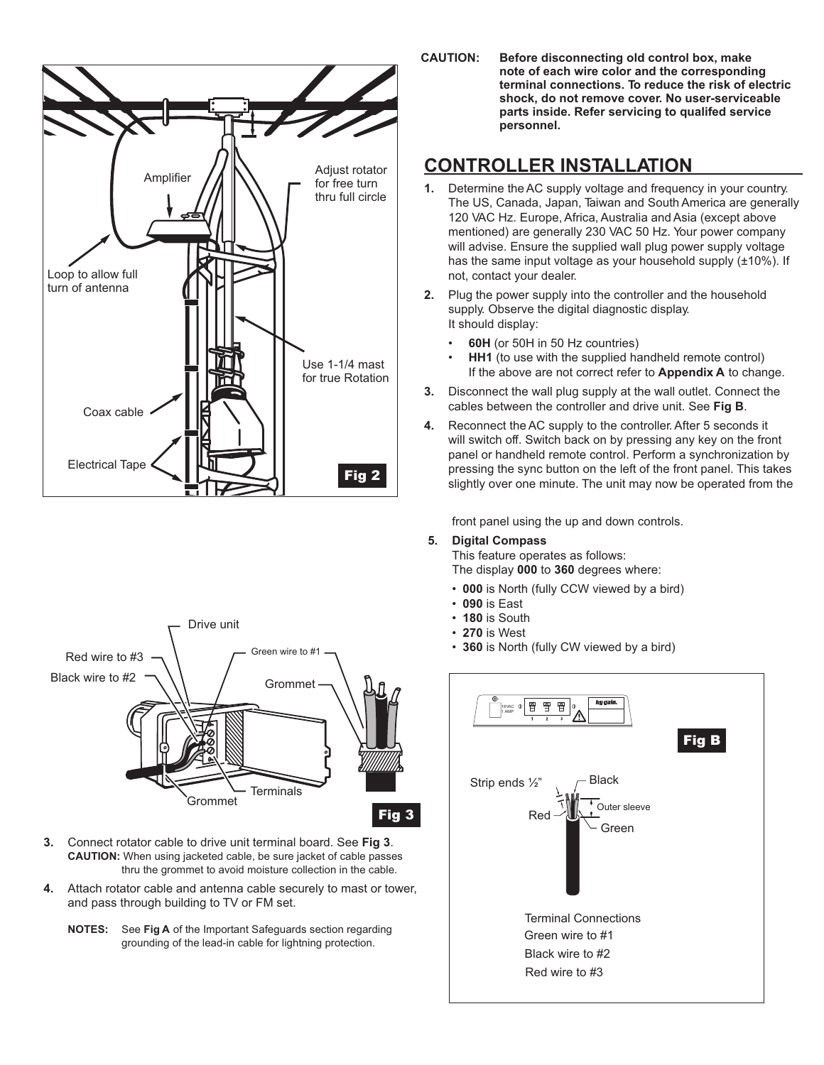



- **3.** Connect rotator cable to drive unit terminal board. See **Fig 3**. **CAUTION:** When using jacketed cable, be sure jacket of cable passes thru the grommet to avoid moisture collection in the cable.
- **4.** Attach rotator cable and antenna cable securely to mast or tower, and pass through building to TV or FM set.
	- **NOTES:** See **Fig A** of the Important Safeguards section regarding grounding of the lead-in cable for lightning protection.

**CAUTION: Before disconnecting old control box, make note of each wire color and the corresponding terminal connections. To reduce the risk of electric shock, do not remove cover. No user-serviceable parts inside. Refer servicing to qualifed service personnel.**

## **CONTROLLER INSTALLATION**

- **1.** Determine the AC supply voltage and frequency in your country. The US, Canada, Japan, Taiwan and South America are generally 120 VAC Hz. Europe, Africa, Australia and Asia (except above mentioned) are generally 230 VAC 50 Hz. Your power company will advise. Ensure the supplied wall plug power supply voltage has the same input voltage as your household supply (±10%). If not, contact your dealer.
- **2.** Plug the power supply into the controller and the household supply. Observe the digital diagnostic display. It should display:
	- **60H** (or 50H in 50 Hz countries)
	- **HH1** (to use with the supplied handheld remote control) If the above are not correct refer to **Appendix A** to change.
- **3.** Disconnect the wall plug supply at the wall outlet. Connect the cables between the controller and drive unit. See **Fig B**.
- **4.** Reconnect the AC supply to the controller. After 5 seconds it will switch off. Switch back on by pressing any key on the front panel or handheld remote control. Perform a synchronization by pressing the sync button on the left of the front panel. This takes slightly over one minute. The unit may now be operated from the

front panel using the up and down controls.

#### **5. Digital Compass**

This feature operates as follows: The display **000** to **360** degrees where:

- **000** is North (fully CCW viewed by a bird)
- **090** is East
- **180** is South
- **270** is West
- **360** is North (fully CW viewed by a bird)